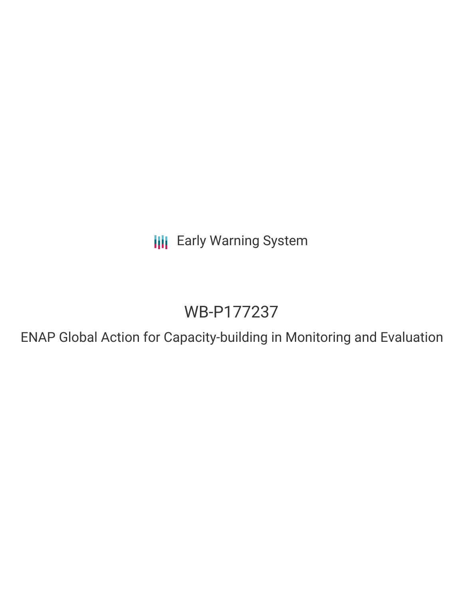**III** Early Warning System

## WB-P177237

ENAP Global Action for Capacity-building in Monitoring and Evaluation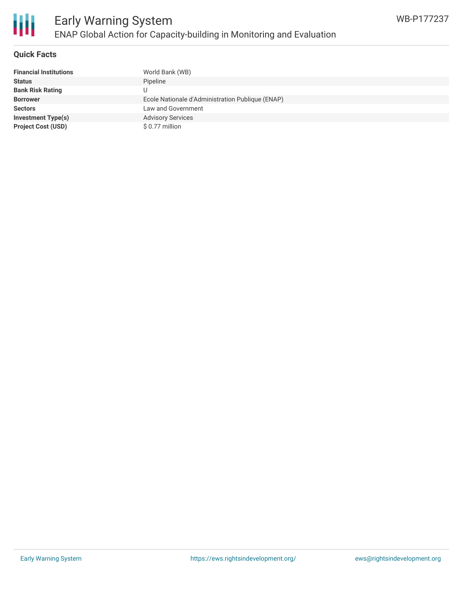

#### **Quick Facts**

| <b>Financial Institutions</b> | World Bank (WB)                                  |
|-------------------------------|--------------------------------------------------|
| <b>Status</b>                 | Pipeline                                         |
| <b>Bank Risk Rating</b>       | U                                                |
| <b>Borrower</b>               | Ecole Nationale d'Administration Publique (ENAP) |
| <b>Sectors</b>                | Law and Government                               |
| <b>Investment Type(s)</b>     | <b>Advisory Services</b>                         |
| <b>Project Cost (USD)</b>     | $$0.77$ million                                  |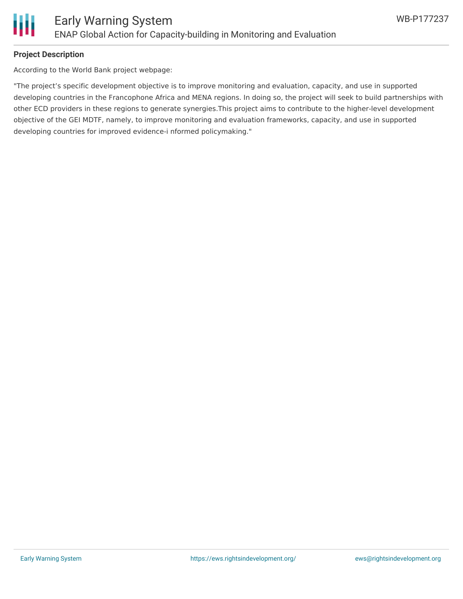

#### **Project Description**

According to the World Bank project webpage:

"The project's specific development objective is to improve monitoring and evaluation, capacity, and use in supported developing countries in the Francophone Africa and MENA regions. In doing so, the project will seek to build partnerships with other ECD providers in these regions to generate synergies.This project aims to contribute to the higher-level development objective of the GEI MDTF, namely, to improve monitoring and evaluation frameworks, capacity, and use in supported developing countries for improved evidence-i nformed policymaking."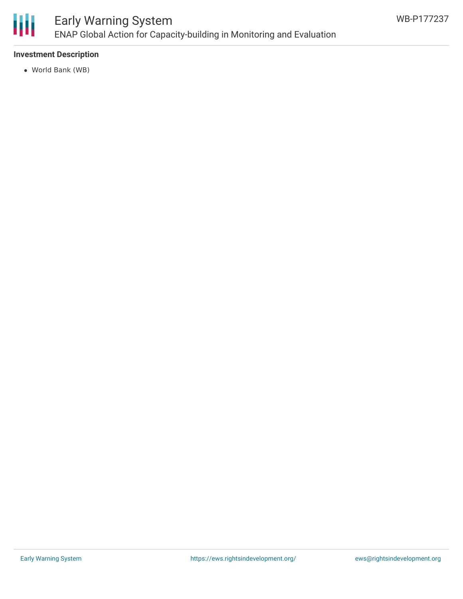

### Early Warning System ENAP Global Action for Capacity-building in Monitoring and Evaluation

#### **Investment Description**

World Bank (WB)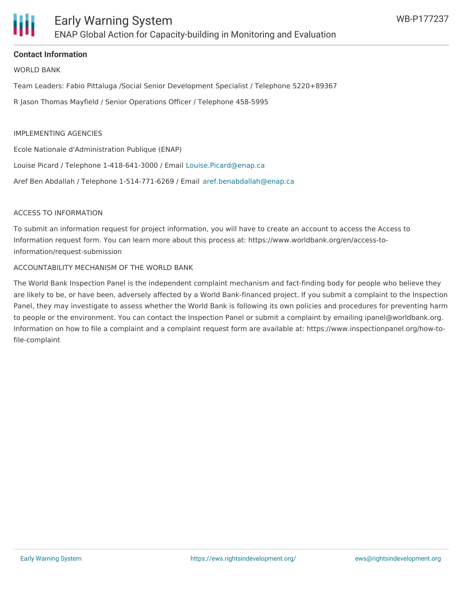

#### **Contact Information**

WORLD BANK

Team Leaders: Fabio Pittaluga /Social Senior Development Specialist / Telephone 5220+89367

R Jason Thomas Mayfield / Senior Operations Officer / Telephone 458-5995

#### IMPLEMENTING AGENCIES

Ecole Nationale d'Administration Publique (ENAP)

Louise Picard / Telephone 1-418-641-3000 / Email [Louise.Picard@enap.ca](mailto:Louise.Picard@enap.ca)

Aref Ben Abdallah / Telephone 1-514-771-6269 / Email [aref.benabdallah@enap.ca](mailto:aref.benabdallah@enap.ca)

#### ACCESS TO INFORMATION

To submit an information request for project information, you will have to create an account to access the Access to Information request form. You can learn more about this process at: https://www.worldbank.org/en/access-toinformation/request-submission

#### ACCOUNTABILITY MECHANISM OF THE WORLD BANK

The World Bank Inspection Panel is the independent complaint mechanism and fact-finding body for people who believe they are likely to be, or have been, adversely affected by a World Bank-financed project. If you submit a complaint to the Inspection Panel, they may investigate to assess whether the World Bank is following its own policies and procedures for preventing harm to people or the environment. You can contact the Inspection Panel or submit a complaint by emailing ipanel@worldbank.org. Information on how to file a complaint and a complaint request form are available at: https://www.inspectionpanel.org/how-tofile-complaint